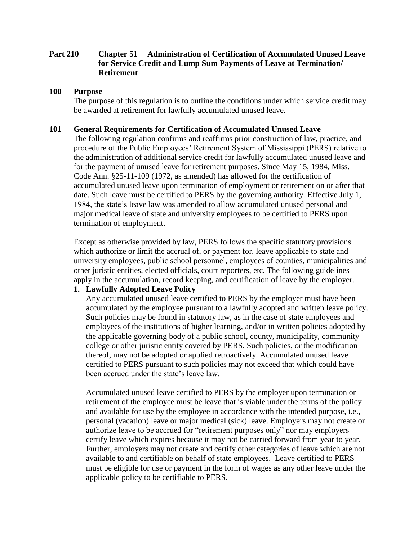# **Part 210 Chapter 51 Administration of Certification of Accumulated Unused Leave for Service Credit and Lump Sum Payments of Leave at Termination/ Retirement**

#### **100 Purpose**

The purpose of this regulation is to outline the conditions under which service credit may be awarded at retirement for lawfully accumulated unused leave.

#### **101 General Requirements for Certification of Accumulated Unused Leave**

The following regulation confirms and reaffirms prior construction of law, practice, and procedure of the Public Employees' Retirement System of Mississippi (PERS) relative to the administration of additional service credit for lawfully accumulated unused leave and for the payment of unused leave for retirement purposes. Since May 15, 1984, Miss. Code Ann. §25-11-109 (1972, as amended) has allowed for the certification of accumulated unused leave upon termination of employment or retirement on or after that date. Such leave must be certified to PERS by the governing authority. Effective July 1, 1984, the state's leave law was amended to allow accumulated unused personal and major medical leave of state and university employees to be certified to PERS upon termination of employment.

Except as otherwise provided by law, PERS follows the specific statutory provisions which authorize or limit the accrual of, or payment for, leave applicable to state and university employees, public school personnel, employees of counties, municipalities and other juristic entities, elected officials, court reporters, etc. The following guidelines apply in the accumulation, record keeping, and certification of leave by the employer.

#### **1. Lawfully Adopted Leave Policy**

Any accumulated unused leave certified to PERS by the employer must have been accumulated by the employee pursuant to a lawfully adopted and written leave policy. Such policies may be found in statutory law, as in the case of state employees and employees of the institutions of higher learning, and/or in written policies adopted by the applicable governing body of a public school, county, municipality, community college or other juristic entity covered by PERS. Such policies, or the modification thereof, may not be adopted or applied retroactively. Accumulated unused leave certified to PERS pursuant to such policies may not exceed that which could have been accrued under the state's leave law.

Accumulated unused leave certified to PERS by the employer upon termination or retirement of the employee must be leave that is viable under the terms of the policy and available for use by the employee in accordance with the intended purpose, i.e., personal (vacation) leave or major medical (sick) leave. Employers may not create or authorize leave to be accrued for "retirement purposes only" nor may employers certify leave which expires because it may not be carried forward from year to year. Further, employers may not create and certify other categories of leave which are not available to and certifiable on behalf of state employees. Leave certified to PERS must be eligible for use or payment in the form of wages as any other leave under the applicable policy to be certifiable to PERS.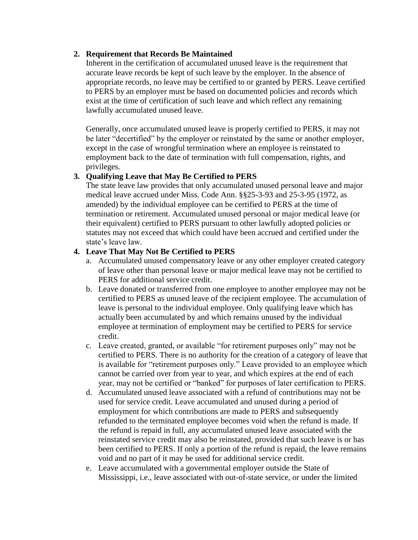### **2. Requirement that Records Be Maintained**

Inherent in the certification of accumulated unused leave is the requirement that accurate leave records be kept of such leave by the employer. In the absence of appropriate records, no leave may be certified to or granted by PERS. Leave certified to PERS by an employer must be based on documented policies and records which exist at the time of certification of such leave and which reflect any remaining lawfully accumulated unused leave.

Generally, once accumulated unused leave is properly certified to PERS, it may not be later "decertified" by the employer or reinstated by the same or another employer, except in the case of wrongful termination where an employee is reinstated to employment back to the date of termination with full compensation, rights, and privileges.

# **3. Qualifying Leave that May Be Certified to PERS**

The state leave law provides that only accumulated unused personal leave and major medical leave accrued under Miss. Code Ann. §§25-3-93 and 25-3-95 (1972, as amended) by the individual employee can be certified to PERS at the time of termination or retirement. Accumulated unused personal or major medical leave (or their equivalent) certified to PERS pursuant to other lawfully adopted policies or statutes may not exceed that which could have been accrued and certified under the state's leave law.

#### **4. Leave That May Not Be Certified to PERS**

- a. Accumulated unused compensatory leave or any other employer created category of leave other than personal leave or major medical leave may not be certified to PERS for additional service credit.
- b. Leave donated or transferred from one employee to another employee may not be certified to PERS as unused leave of the recipient employee. The accumulation of leave is personal to the individual employee. Only qualifying leave which has actually been accumulated by and which remains unused by the individual employee at termination of employment may be certified to PERS for service credit.
- c. Leave created, granted, or available "for retirement purposes only" may not be certified to PERS. There is no authority for the creation of a category of leave that is available for "retirement purposes only." Leave provided to an employee which cannot be carried over from year to year, and which expires at the end of each year, may not be certified or "banked" for purposes of later certification to PERS.
- d. Accumulated unused leave associated with a refund of contributions may not be used for service credit. Leave accumulated and unused during a period of employment for which contributions are made to PERS and subsequently refunded to the terminated employee becomes void when the refund is made. If the refund is repaid in full, any accumulated unused leave associated with the reinstated service credit may also be reinstated, provided that such leave is or has been certified to PERS. If only a portion of the refund is repaid, the leave remains void and no part of it may be used for additional service credit.
- e. Leave accumulated with a governmental employer outside the State of Mississippi, i.e., leave associated with out-of-state service, or under the limited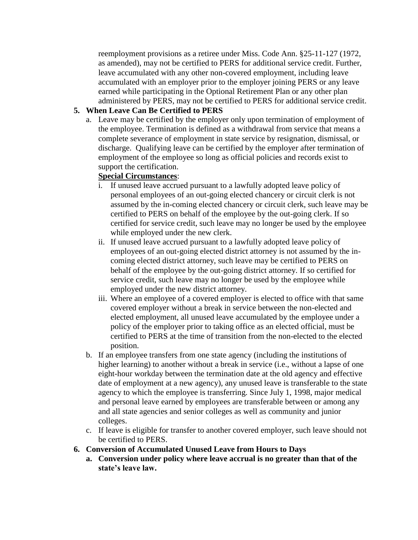reemployment provisions as a retiree under Miss. Code Ann. §25-11-127 (1972, as amended), may not be certified to PERS for additional service credit. Further, leave accumulated with any other non-covered employment, including leave accumulated with an employer prior to the employer joining PERS or any leave earned while participating in the Optional Retirement Plan or any other plan administered by PERS, may not be certified to PERS for additional service credit.

# **5. When Leave Can Be Certified to PERS**

a. Leave may be certified by the employer only upon termination of employment of the employee. Termination is defined as a withdrawal from service that means a complete severance of employment in state service by resignation, dismissal, or discharge. Qualifying leave can be certified by the employer after termination of employment of the employee so long as official policies and records exist to support the certification.

# **Special Circumstances**:

- i. If unused leave accrued pursuant to a lawfully adopted leave policy of personal employees of an out-going elected chancery or circuit clerk is not assumed by the in-coming elected chancery or circuit clerk, such leave may be certified to PERS on behalf of the employee by the out-going clerk. If so certified for service credit, such leave may no longer be used by the employee while employed under the new clerk.
- ii. If unused leave accrued pursuant to a lawfully adopted leave policy of employees of an out-going elected district attorney is not assumed by the incoming elected district attorney, such leave may be certified to PERS on behalf of the employee by the out-going district attorney. If so certified for service credit, such leave may no longer be used by the employee while employed under the new district attorney.
- iii. Where an employee of a covered employer is elected to office with that same covered employer without a break in service between the non-elected and elected employment, all unused leave accumulated by the employee under a policy of the employer prior to taking office as an elected official, must be certified to PERS at the time of transition from the non-elected to the elected position.
- b. If an employee transfers from one state agency (including the institutions of higher learning) to another without a break in service (i.e., without a lapse of one eight-hour workday between the termination date at the old agency and effective date of employment at a new agency), any unused leave is transferable to the state agency to which the employee is transferring. Since July 1, 1998, major medical and personal leave earned by employees are transferable between or among any and all state agencies and senior colleges as well as community and junior colleges.
- c. If leave is eligible for transfer to another covered employer, such leave should not be certified to PERS.
- **6. Conversion of Accumulated Unused Leave from Hours to Days**
	- **a. Conversion under policy where leave accrual is no greater than that of the state's leave law.**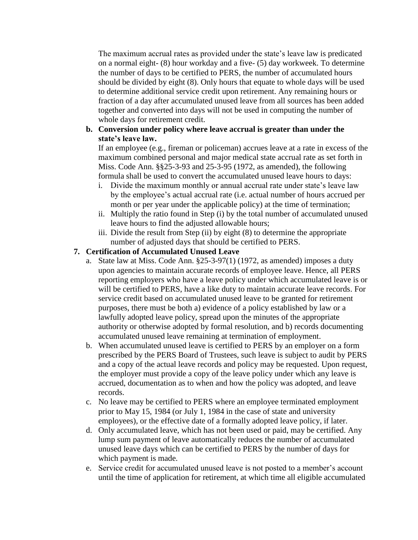The maximum accrual rates as provided under the state's leave law is predicated on a normal eight- (8) hour workday and a five- (5) day workweek. To determine the number of days to be certified to PERS, the number of accumulated hours should be divided by eight (8). Only hours that equate to whole days will be used to determine additional service credit upon retirement. Any remaining hours or fraction of a day after accumulated unused leave from all sources has been added together and converted into days will not be used in computing the number of whole days for retirement credit.

### **b. Conversion under policy where leave accrual is greater than under the state's leave law.**

If an employee (e.g., fireman or policeman) accrues leave at a rate in excess of the maximum combined personal and major medical state accrual rate as set forth in Miss. Code Ann. §§25-3-93 and 25-3-95 (1972, as amended), the following formula shall be used to convert the accumulated unused leave hours to days:

- i. Divide the maximum monthly or annual accrual rate under state's leave law by the employee's actual accrual rate (i.e. actual number of hours accrued per month or per year under the applicable policy) at the time of termination;
- ii. Multiply the ratio found in Step (i) by the total number of accumulated unused leave hours to find the adjusted allowable hours;
- iii. Divide the result from Step (ii) by eight (8) to determine the appropriate number of adjusted days that should be certified to PERS.

# **7. Certification of Accumulated Unused Leave**

- a. State law at Miss. Code Ann. §25-3-97(1) (1972, as amended) imposes a duty upon agencies to maintain accurate records of employee leave. Hence, all PERS reporting employers who have a leave policy under which accumulated leave is or will be certified to PERS, have a like duty to maintain accurate leave records. For service credit based on accumulated unused leave to be granted for retirement purposes, there must be both a) evidence of a policy established by law or a lawfully adopted leave policy, spread upon the minutes of the appropriate authority or otherwise adopted by formal resolution, and b) records documenting accumulated unused leave remaining at termination of employment.
- b. When accumulated unused leave is certified to PERS by an employer on a form prescribed by the PERS Board of Trustees, such leave is subject to audit by PERS and a copy of the actual leave records and policy may be requested. Upon request, the employer must provide a copy of the leave policy under which any leave is accrued, documentation as to when and how the policy was adopted, and leave records.
- c. No leave may be certified to PERS where an employee terminated employment prior to May 15, 1984 (or July 1, 1984 in the case of state and university employees), or the effective date of a formally adopted leave policy, if later.
- d. Only accumulated leave, which has not been used or paid, may be certified. Any lump sum payment of leave automatically reduces the number of accumulated unused leave days which can be certified to PERS by the number of days for which payment is made.
- e. Service credit for accumulated unused leave is not posted to a member's account until the time of application for retirement, at which time all eligible accumulated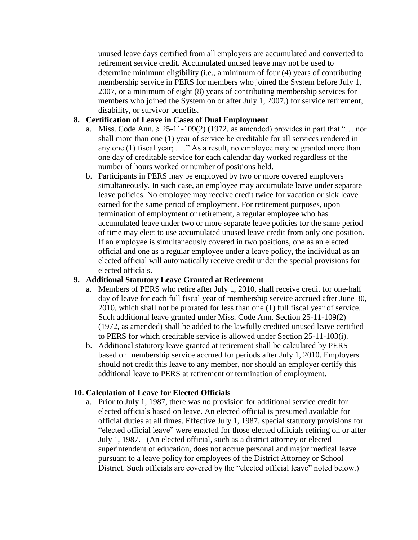unused leave days certified from all employers are accumulated and converted to retirement service credit. Accumulated unused leave may not be used to determine minimum eligibility (i.e., a minimum of four (4) years of contributing membership service in PERS for members who joined the System before July 1, 2007, or a minimum of eight (8) years of contributing membership services for members who joined the System on or after July 1, 2007,) for service retirement, disability, or survivor benefits.

#### **8. Certification of Leave in Cases of Dual Employment**

- a. Miss. Code Ann.  $\S 25-11-109(2)$  (1972, as amended) provides in part that "... nor shall more than one (1) year of service be creditable for all services rendered in any one (1) fiscal year; . . ." As a result, no employee may be granted more than one day of creditable service for each calendar day worked regardless of the number of hours worked or number of positions held.
- b. Participants in PERS may be employed by two or more covered employers simultaneously. In such case, an employee may accumulate leave under separate leave policies. No employee may receive credit twice for vacation or sick leave earned for the same period of employment. For retirement purposes, upon termination of employment or retirement, a regular employee who has accumulated leave under two or more separate leave policies for the same period of time may elect to use accumulated unused leave credit from only one position. If an employee is simultaneously covered in two positions, one as an elected official and one as a regular employee under a leave policy, the individual as an elected official will automatically receive credit under the special provisions for elected officials.

#### **9. Additional Statutory Leave Granted at Retirement**

- a. Members of PERS who retire after July 1, 2010, shall receive credit for one-half day of leave for each full fiscal year of membership service accrued after June 30, 2010, which shall not be prorated for less than one (1) full fiscal year of service. Such additional leave granted under Miss. Code Ann. Section 25-11-109(2) (1972, as amended) shall be added to the lawfully credited unused leave certified to PERS for which creditable service is allowed under Section 25-11-103(i).
- b. Additional statutory leave granted at retirement shall be calculated by PERS based on membership service accrued for periods after July 1, 2010. Employers should not credit this leave to any member, nor should an employer certify this additional leave to PERS at retirement or termination of employment.

# **10. Calculation of Leave for Elected Officials**

a. Prior to July 1, 1987, there was no provision for additional service credit for elected officials based on leave. An elected official is presumed available for official duties at all times. Effective July 1, 1987, special statutory provisions for "elected official leave" were enacted for those elected officials retiring on or after July 1, 1987. (An elected official, such as a district attorney or elected superintendent of education, does not accrue personal and major medical leave pursuant to a leave policy for employees of the District Attorney or School District. Such officials are covered by the "elected official leave" noted below.)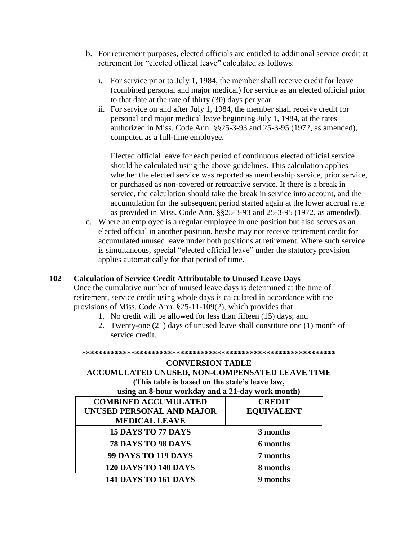- b. For retirement purposes, elected officials are entitled to additional service credit at retirement for "elected official leave" calculated as follows:
	- i. For service prior to July 1, 1984, the member shall receive credit for leave (combined personal and major medical) for service as an elected official prior to that date at the rate of thirty (30) days per year.
	- ii. For service on and after July 1, 1984, the member shall receive credit for personal and major medical leave beginning July 1, 1984, at the rates authorized in Miss. Code Ann. §§25-3-93 and 25-3-95 (1972, as amended), computed as a full-time employee.

Elected official leave for each period of continuous elected official service should be calculated using the above guidelines. This calculation applies whether the elected service was reported as membership service, prior service, or purchased as non-covered or retroactive service. If there is a break in service, the calculation should take the break in service into account, and the accumulation for the subsequent period started again at the lower accrual rate as provided in Miss. Code Ann. §§25-3-93 and 25-3-95 (1972, as amended).

c. Where an employee is a regular employee in one position but also serves as an elected official in another position, he/she may not receive retirement credit for accumulated unused leave under both positions at retirement. Where such service is simultaneous, special "elected official leave" under the statutory provision applies automatically for that period of time.

#### **102 Calculation of Service Credit Attributable to Unused Leave Days**

Once the cumulative number of unused leave days is determined at the time of retirement, service credit using whole days is calculated in accordance with the provisions of Miss. Code Ann. §25-11-109(2), which provides that

- 1. No credit will be allowed for less than fifteen (15) days; and
- 2. Twenty-one (21) days of unused leave shall constitute one (1) month of service credit.

**\*\*\*\*\*\*\*\*\*\*\*\*\*\*\*\*\*\*\*\*\*\*\*\*\*\*\*\*\*\*\*\*\*\*\*\*\*\*\*\*\*\*\*\*\*\*\*\*\*\*\*\*\*\*\*\*\*\*\*\*\*\***

# **CONVERSION TABLE ACCUMULATED UNUSED, NON-COMPENSATED LEAVE TIME (This table is based on the state's leave law,**

| using an 8-hour workday and a 21-day work month) |                   |  |
|--------------------------------------------------|-------------------|--|
| <b>COMBINED ACCUMULATED</b>                      | <b>CREDIT</b>     |  |
| UNUSED PERSONAL AND MAJOR                        | <b>EQUIVALENT</b> |  |
| <b>MEDICAL LEAVE</b>                             |                   |  |
| 15 DAYS TO 77 DAYS                               | 3 months          |  |
| 78 DAYS TO 98 DAYS                               | 6 months          |  |
| <b>99 DAYS TO 119 DAYS</b>                       | 7 months          |  |
| <b>120 DAYS TO 140 DAYS</b>                      | 8 months          |  |
| <b>141 DAYS TO 161 DAYS</b>                      | 9 months          |  |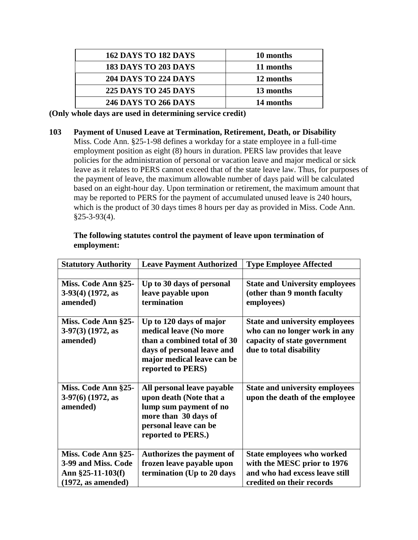| <b>162 DAYS TO 182 DAYS</b> | 10 months |
|-----------------------------|-----------|
| <b>183 DAYS TO 203 DAYS</b> | 11 months |
| <b>204 DAYS TO 224 DAYS</b> | 12 months |
| <b>225 DAYS TO 245 DAYS</b> | 13 months |
| <b>246 DAYS TO 266 DAYS</b> | 14 months |

**(Only whole days are used in determining service credit)**

**103 Payment of Unused Leave at Termination, Retirement, Death, or Disability** Miss. Code Ann. §25-1-98 defines a workday for a state employee in a full-time employment position as eight (8) hours in duration. PERS law provides that leave policies for the administration of personal or vacation leave and major medical or sick leave as it relates to PERS cannot exceed that of the state leave law. Thus, for purposes of the payment of leave, the maximum allowable number of days paid will be calculated based on an eight-hour day. Upon termination or retirement, the maximum amount that may be reported to PERS for the payment of accumulated unused leave is 240 hours, which is the product of 30 days times 8 hours per day as provided in Miss. Code Ann.  $§25-3-93(4).$ 

| <b>Statutory Authority</b>                                                               | <b>Leave Payment Authorized</b>                                                                                                                                   | <b>Type Employee Affected</b>                                                                                                     |
|------------------------------------------------------------------------------------------|-------------------------------------------------------------------------------------------------------------------------------------------------------------------|-----------------------------------------------------------------------------------------------------------------------------------|
|                                                                                          |                                                                                                                                                                   |                                                                                                                                   |
| Miss. Code Ann §25-                                                                      | Up to 30 days of personal                                                                                                                                         | <b>State and University employees</b>                                                                                             |
| $3-93(4)$ (1972, as<br>amended)                                                          | leave payable upon<br>termination                                                                                                                                 | (other than 9 month faculty<br>employees)                                                                                         |
| Miss. Code Ann §25-<br>$3-97(3)$ (1972, as<br>amended)                                   | Up to 120 days of major<br>medical leave (No more<br>than a combined total of 30<br>days of personal leave and<br>major medical leave can be<br>reported to PERS) | <b>State and university employees</b><br>who can no longer work in any<br>capacity of state government<br>due to total disability |
| Miss. Code Ann §25-<br>$3-97(6)$ (1972, as<br>amended)                                   | All personal leave payable<br>upon death (Note that a<br>lump sum payment of no<br>more than 30 days of<br>personal leave can be<br>reported to PERS.)            | <b>State and university employees</b><br>upon the death of the employee                                                           |
| Miss. Code Ann §25-<br>3-99 and Miss. Code<br>Ann $\S25-11-103(f)$<br>(1972, as amended) | <b>Authorizes the payment of</b><br>frozen leave payable upon<br>termination (Up to 20 days                                                                       | <b>State employees who worked</b><br>with the MESC prior to 1976<br>and who had excess leave still<br>credited on their records   |

#### **The following statutes control the payment of leave upon termination of employment:**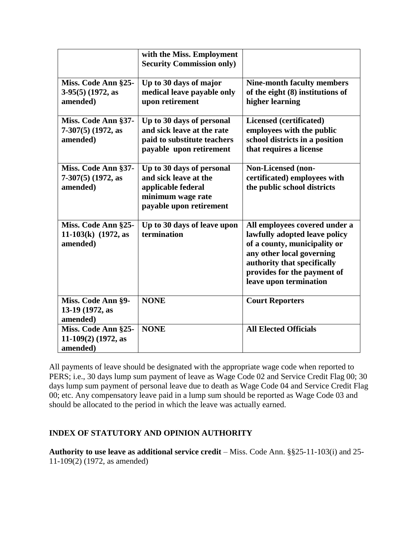|                                                          | with the Miss. Employment<br><b>Security Commission only)</b>                                                            |                                                                                                                                                                                                                     |
|----------------------------------------------------------|--------------------------------------------------------------------------------------------------------------------------|---------------------------------------------------------------------------------------------------------------------------------------------------------------------------------------------------------------------|
| Miss. Code Ann §25-<br>$3-95(5)$ (1972, as<br>amended)   | Up to 30 days of major<br>medical leave payable only<br>upon retirement                                                  | <b>Nine-month faculty members</b><br>of the eight (8) institutions of<br>higher learning                                                                                                                            |
| Miss. Code Ann §37-<br>$7-307(5)$ (1972, as<br>amended)  | Up to 30 days of personal<br>and sick leave at the rate<br>paid to substitute teachers<br>payable upon retirement        | Licensed (certificated)<br>employees with the public<br>school districts in a position<br>that requires a license                                                                                                   |
| Miss. Code Ann §37-<br>$7-307(5)$ (1972, as<br>amended)  | Up to 30 days of personal<br>and sick leave at the<br>applicable federal<br>minimum wage rate<br>payable upon retirement | Non-Licensed (non-<br>certificated) employees with<br>the public school districts                                                                                                                                   |
| Miss. Code Ann §25-<br>11-103(k) $(1972, as$<br>amended) | Up to 30 days of leave upon<br>termination                                                                               | All employees covered under a<br>lawfully adopted leave policy<br>of a county, municipality or<br>any other local governing<br>authority that specifically<br>provides for the payment of<br>leave upon termination |
| Miss. Code Ann §9-<br>13-19 (1972, as<br>amended)        | <b>NONE</b>                                                                                                              | <b>Court Reporters</b>                                                                                                                                                                                              |
| Miss. Code Ann §25-<br>11-109(2) (1972, as<br>amended)   | <b>NONE</b>                                                                                                              | <b>All Elected Officials</b>                                                                                                                                                                                        |

All payments of leave should be designated with the appropriate wage code when reported to PERS; i.e., 30 days lump sum payment of leave as Wage Code 02 and Service Credit Flag 00; 30 days lump sum payment of personal leave due to death as Wage Code 04 and Service Credit Flag 00; etc. Any compensatory leave paid in a lump sum should be reported as Wage Code 03 and should be allocated to the period in which the leave was actually earned.

# **INDEX OF STATUTORY AND OPINION AUTHORITY**

**Authority to use leave as additional service credit** – Miss. Code Ann. §§25-11-103(i) and 25- 11-109(2) (1972, as amended)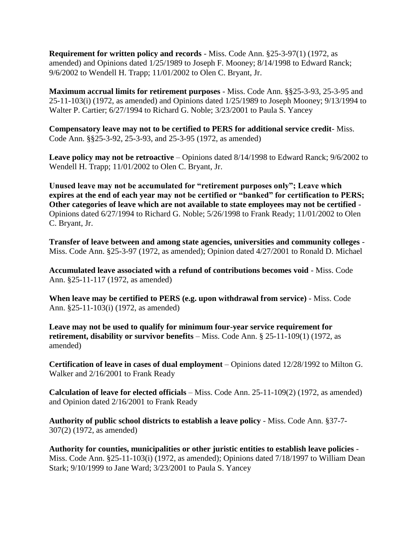**Requirement for written policy and records** - Miss. Code Ann. §25-3-97(1) (1972, as amended) and Opinions dated 1/25/1989 to Joseph F. Mooney; 8/14/1998 to Edward Ranck; 9/6/2002 to Wendell H. Trapp; 11/01/2002 to Olen C. Bryant, Jr.

**Maximum accrual limits for retirement purposes** - Miss. Code Ann. §§25-3-93, 25-3-95 and 25-11-103(i) (1972, as amended) and Opinions dated 1/25/1989 to Joseph Mooney; 9/13/1994 to Walter P. Cartier; 6/27/1994 to Richard G. Noble; 3/23/2001 to Paula S. Yancey

**Compensatory leave may not to be certified to PERS for additional service credit**- Miss. Code Ann. §§25-3-92, 25-3-93, and 25-3-95 (1972, as amended)

**Leave policy may not be retroactive** – Opinions dated 8/14/1998 to Edward Ranck; 9/6/2002 to Wendell H. Trapp; 11/01/2002 to Olen C. Bryant, Jr.

**Unused leave may not be accumulated for "retirement purposes only"; Leave which expires at the end of each year may not be certified or "banked" for certification to PERS; Other categories of leave which are not available to state employees may not be certified** - Opinions dated 6/27/1994 to Richard G. Noble; 5/26/1998 to Frank Ready; 11/01/2002 to Olen C. Bryant, Jr.

**Transfer of leave between and among state agencies, universities and community colleges** - Miss. Code Ann. §25-3-97 (1972, as amended); Opinion dated 4/27/2001 to Ronald D. Michael

**Accumulated leave associated with a refund of contributions becomes void** - Miss. Code Ann. §25-11-117 (1972, as amended)

**When leave may be certified to PERS (e.g. upon withdrawal from service)** - Miss. Code Ann. §25-11-103(i) (1972, as amended)

**Leave may not be used to qualify for minimum four-year service requirement for retirement, disability or survivor benefits** – Miss. Code Ann. § 25-11-109(1) (1972, as amended)

**Certification of leave in cases of dual employment** – Opinions dated 12/28/1992 to Milton G. Walker and 2/16/2001 to Frank Ready

**Calculation of leave for elected officials** – Miss. Code Ann. 25-11-109(2) (1972, as amended) and Opinion dated 2/16/2001 to Frank Ready

**Authority of public school districts to establish a leave policy** - Miss. Code Ann. §37-7- 307(2) (1972, as amended)

**Authority for counties, municipalities or other juristic entities to establish leave policies** - Miss. Code Ann. §25-11-103(i) (1972, as amended); Opinions dated 7/18/1997 to William Dean Stark; 9/10/1999 to Jane Ward; 3/23/2001 to Paula S. Yancey